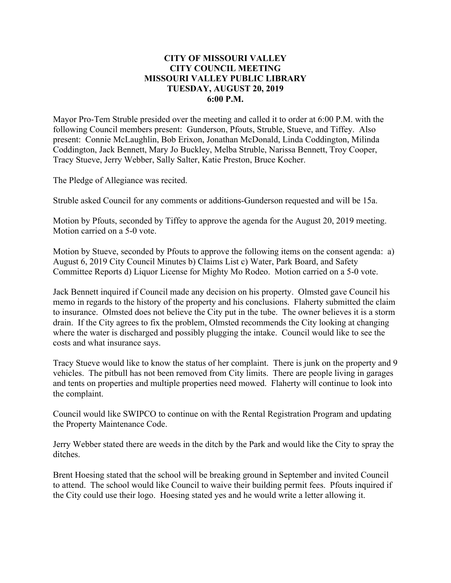## **CITY OF MISSOURI VALLEY CITY COUNCIL MEETING MISSOURI VALLEY PUBLIC LIBRARY TUESDAY, AUGUST 20, 2019 6:00 P.M.**

Mayor Pro-Tem Struble presided over the meeting and called it to order at 6:00 P.M. with the following Council members present: Gunderson, Pfouts, Struble, Stueve, and Tiffey. Also present: Connie McLaughlin, Bob Erixon, Jonathan McDonald, Linda Coddington, Milinda Coddington, Jack Bennett, Mary Jo Buckley, Melba Struble, Narissa Bennett, Troy Cooper, Tracy Stueve, Jerry Webber, Sally Salter, Katie Preston, Bruce Kocher.

The Pledge of Allegiance was recited.

Struble asked Council for any comments or additions-Gunderson requested and will be 15a.

Motion by Pfouts, seconded by Tiffey to approve the agenda for the August 20, 2019 meeting. Motion carried on a 5-0 vote.

Motion by Stueve, seconded by Pfouts to approve the following items on the consent agenda: a) August 6, 2019 City Council Minutes b) Claims List c) Water, Park Board, and Safety Committee Reports d) Liquor License for Mighty Mo Rodeo. Motion carried on a 5-0 vote.

Jack Bennett inquired if Council made any decision on his property. Olmsted gave Council his memo in regards to the history of the property and his conclusions. Flaherty submitted the claim to insurance. Olmsted does not believe the City put in the tube. The owner believes it is a storm drain. If the City agrees to fix the problem, Olmsted recommends the City looking at changing where the water is discharged and possibly plugging the intake. Council would like to see the costs and what insurance says.

Tracy Stueve would like to know the status of her complaint. There is junk on the property and 9 vehicles. The pitbull has not been removed from City limits. There are people living in garages and tents on properties and multiple properties need mowed. Flaherty will continue to look into the complaint.

Council would like SWIPCO to continue on with the Rental Registration Program and updating the Property Maintenance Code.

Jerry Webber stated there are weeds in the ditch by the Park and would like the City to spray the ditches.

Brent Hoesing stated that the school will be breaking ground in September and invited Council to attend. The school would like Council to waive their building permit fees. Pfouts inquired if the City could use their logo. Hoesing stated yes and he would write a letter allowing it.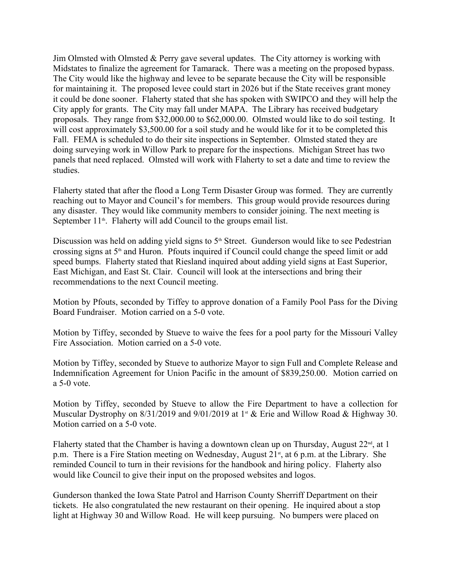Jim Olmsted with Olmsted & Perry gave several updates. The City attorney is working with Midstates to finalize the agreement for Tamarack. There was a meeting on the proposed bypass. The City would like the highway and levee to be separate because the City will be responsible for maintaining it. The proposed levee could start in 2026 but if the State receives grant money it could be done sooner. Flaherty stated that she has spoken with SWIPCO and they will help the City apply for grants. The City may fall under MAPA. The Library has received budgetary proposals. They range from \$32,000.00 to \$62,000.00. Olmsted would like to do soil testing. It will cost approximately \$3,500.00 for a soil study and he would like for it to be completed this Fall. FEMA is scheduled to do their site inspections in September. Olmsted stated they are doing surveying work in Willow Park to prepare for the inspections. Michigan Street has two panels that need replaced. Olmsted will work with Flaherty to set a date and time to review the studies.

Flaherty stated that after the flood a Long Term Disaster Group was formed. They are currently reaching out to Mayor and Council's for members. This group would provide resources during any disaster. They would like community members to consider joining. The next meeting is September  $11<sup>th</sup>$ . Flaherty will add Council to the groups email list.

Discussion was held on adding yield signs to  $5<sup>th</sup>$  Street. Gunderson would like to see Pedestrian crossing signs at  $5<sup>th</sup>$  and Huron. Pfouts inquired if Council could change the speed limit or add speed bumps. Flaherty stated that Riesland inquired about adding yield signs at East Superior, East Michigan, and East St. Clair. Council will look at the intersections and bring their recommendations to the next Council meeting.

Motion by Pfouts, seconded by Tiffey to approve donation of a Family Pool Pass for the Diving Board Fundraiser. Motion carried on a 5-0 vote.

Motion by Tiffey, seconded by Stueve to waive the fees for a pool party for the Missouri Valley Fire Association. Motion carried on a 5-0 vote.

Motion by Tiffey, seconded by Stueve to authorize Mayor to sign Full and Complete Release and Indemnification Agreement for Union Pacific in the amount of \$839,250.00. Motion carried on a 5-0 vote.

Motion by Tiffey, seconded by Stueve to allow the Fire Department to have a collection for Muscular Dystrophy on 8/31/2019 and 9/01/2019 at 1<sup>st</sup> & Erie and Willow Road & Highway 30. Motion carried on a 5-0 vote.

Flaherty stated that the Chamber is having a downtown clean up on Thursday, August  $22<sup>nd</sup>$ , at 1 p.m. There is a Fire Station meeting on Wednesday, August  $21<sup>st</sup>$ , at 6 p.m. at the Library. She reminded Council to turn in their revisions for the handbook and hiring policy. Flaherty also would like Council to give their input on the proposed websites and logos.

Gunderson thanked the Iowa State Patrol and Harrison County Sherriff Department on their tickets. He also congratulated the new restaurant on their opening. He inquired about a stop light at Highway 30 and Willow Road. He will keep pursuing. No bumpers were placed on